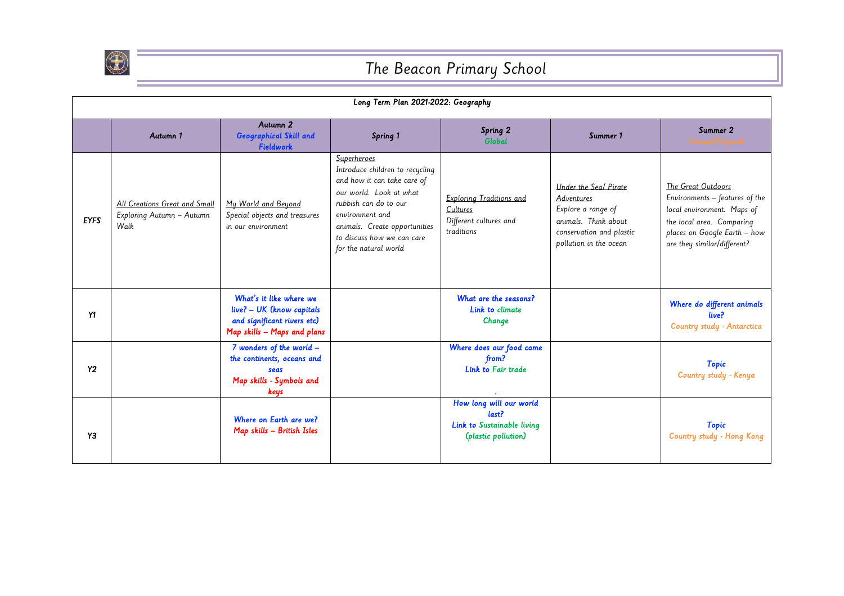

## The Beacon Primary School

| Long Term Plan 2021-2022: Geography |                                                                    |                                                                                                                    |                                                                                                                                                                                                                                              |                                                                                       |                                                                                                                                                |                                                                                                                                                                                |  |  |
|-------------------------------------|--------------------------------------------------------------------|--------------------------------------------------------------------------------------------------------------------|----------------------------------------------------------------------------------------------------------------------------------------------------------------------------------------------------------------------------------------------|---------------------------------------------------------------------------------------|------------------------------------------------------------------------------------------------------------------------------------------------|--------------------------------------------------------------------------------------------------------------------------------------------------------------------------------|--|--|
|                                     | Autumn 1                                                           | Autumn 2<br>Geographical Skill and<br><b>Fieldwork</b>                                                             | Spring 1                                                                                                                                                                                                                                     | Spring 2<br>Global                                                                    | Summer 1                                                                                                                                       | Summer 2<br>Human/Physical                                                                                                                                                     |  |  |
| <b>EYFS</b>                         | All Creations Great and Small<br>Exploring Autumn - Autumn<br>Walk | My World and Beyond<br>Special objects and treasures<br>in our environment                                         | Superheroes<br>Introduce children to recycling<br>and how it can take care of<br>our world. Look at what<br>rubbish can do to our<br>environment and<br>animals. Create opportunities<br>to discuss how we can care<br>for the natural world | Exploring Traditions and<br>Cultures<br>Different cultures and<br>traditions          | Under the Seal Pirate<br><b>Adventures</b><br>Explore a range of<br>animals. Think about<br>conservation and plastic<br>pollution in the ocean | The Great Outdoors<br>Environments - features of the<br>local environment. Maps of<br>the local area. Comparing<br>places on Google Earth - how<br>are they similar/different? |  |  |
| Y1                                  |                                                                    | What's it like where we<br>live? - UK (know capitals<br>and significant rivers etc)<br>Map skills - Maps and plans |                                                                                                                                                                                                                                              | What are the seasons?<br>Link to climate<br>Change                                    |                                                                                                                                                | Where do different animals<br>live?<br>Country study - Antarctica                                                                                                              |  |  |
| Y <sub>2</sub>                      |                                                                    | 7 wonders of the world -<br>the continents, oceans and<br>seas<br>Map skills - Symbols and<br>keys                 |                                                                                                                                                                                                                                              | Where does our food come<br>from?<br>Link to Fair trade                               |                                                                                                                                                | <b>Topic</b><br>Country study - Kenya                                                                                                                                          |  |  |
| Y3                                  |                                                                    | Where on Earth are we?<br>Map skills - British Isles                                                               |                                                                                                                                                                                                                                              | How long will our world<br>last?<br>Link to Sustainable living<br>(plastic pollution) |                                                                                                                                                | <b>Topic</b><br>Country study - Hong Kong                                                                                                                                      |  |  |